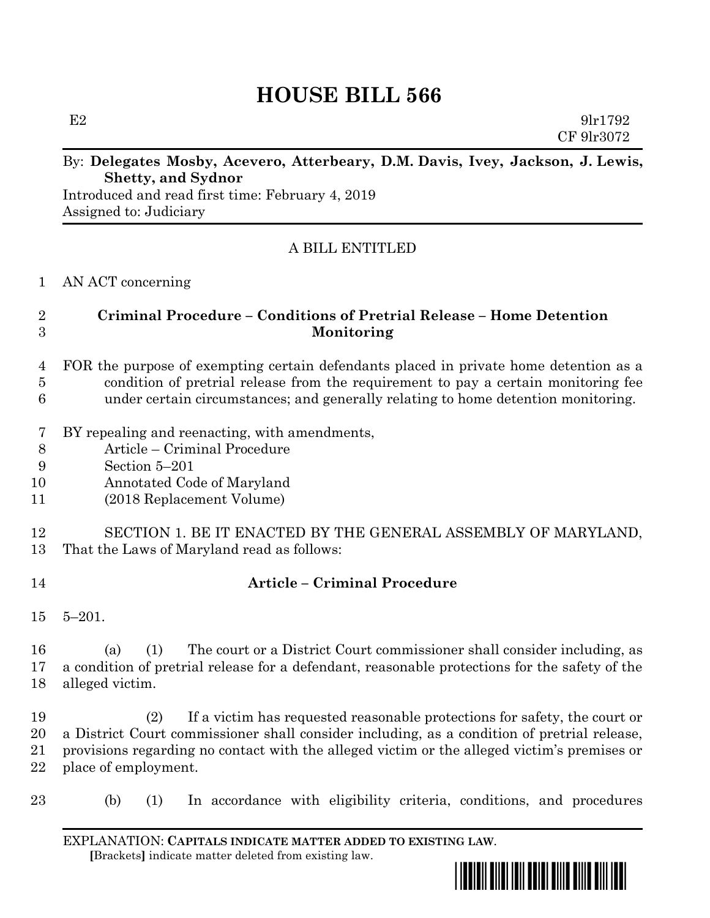# **HOUSE BILL 566**

 $E2 \t\t 9\text{l}r1792$ CF 9lr3072

#### By: **Delegates Mosby, Acevero, Atterbeary, D.M. Davis, Ivey, Jackson, J. Lewis, Shetty, and Sydnor**

Introduced and read first time: February 4, 2019 Assigned to: Judiciary

## A BILL ENTITLED

AN ACT concerning

#### **Criminal Procedure – Conditions of Pretrial Release – Home Detention Monitoring**

- FOR the purpose of exempting certain defendants placed in private home detention as a condition of pretrial release from the requirement to pay a certain monitoring fee under certain circumstances; and generally relating to home detention monitoring.
- BY repealing and reenacting, with amendments,
- Article Criminal Procedure
- Section 5–201
- Annotated Code of Maryland
- (2018 Replacement Volume)
- SECTION 1. BE IT ENACTED BY THE GENERAL ASSEMBLY OF MARYLAND, That the Laws of Maryland read as follows:
- 

## **Article – Criminal Procedure**

5–201.

 (a) (1) The court or a District Court commissioner shall consider including, as a condition of pretrial release for a defendant, reasonable protections for the safety of the alleged victim.

 (2) If a victim has requested reasonable protections for safety, the court or a District Court commissioner shall consider including, as a condition of pretrial release, provisions regarding no contact with the alleged victim or the alleged victim's premises or place of employment.

(b) (1) In accordance with eligibility criteria, conditions, and procedures

EXPLANATION: **CAPITALS INDICATE MATTER ADDED TO EXISTING LAW**.  **[**Brackets**]** indicate matter deleted from existing law.